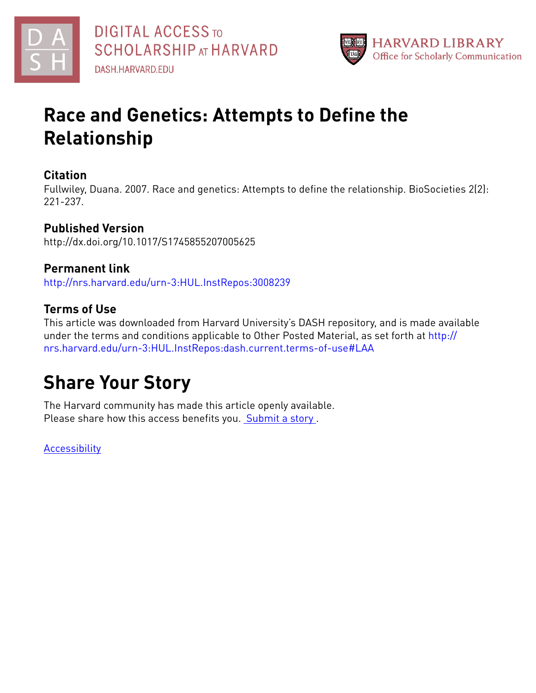



# **Race and Genetics: Attempts to Define the Relationship**

## **Citation**

Fullwiley, Duana. 2007. Race and genetics: Attempts to define the relationship. BioSocieties 2(2): 221-237.

# **Published Version**

http://dx.doi.org/10.1017/S1745855207005625

## **Permanent link**

<http://nrs.harvard.edu/urn-3:HUL.InstRepos:3008239>

## **Terms of Use**

This article was downloaded from Harvard University's DASH repository, and is made available under the terms and conditions applicable to Other Posted Material, as set forth at [http://](http://nrs.harvard.edu/urn-3:HUL.InstRepos:dash.current.terms-of-use#LAA) [nrs.harvard.edu/urn-3:HUL.InstRepos:dash.current.terms-of-use#LAA](http://nrs.harvard.edu/urn-3:HUL.InstRepos:dash.current.terms-of-use#LAA)

# **Share Your Story**

The Harvard community has made this article openly available. Please share how this access benefits you. [Submit](http://osc.hul.harvard.edu/dash/open-access-feedback?handle=&title=Race%20and%20Genetics:%20Attempts%20to%20Define%20the%20Relationship&community=1/1&collection=1/2&owningCollection1/2&harvardAuthors=757938213b0737ebc59424ba1022e495&departmentAfrican%20and%20African%20American%20Studies) a story.

**[Accessibility](https://dash.harvard.edu/pages/accessibility)**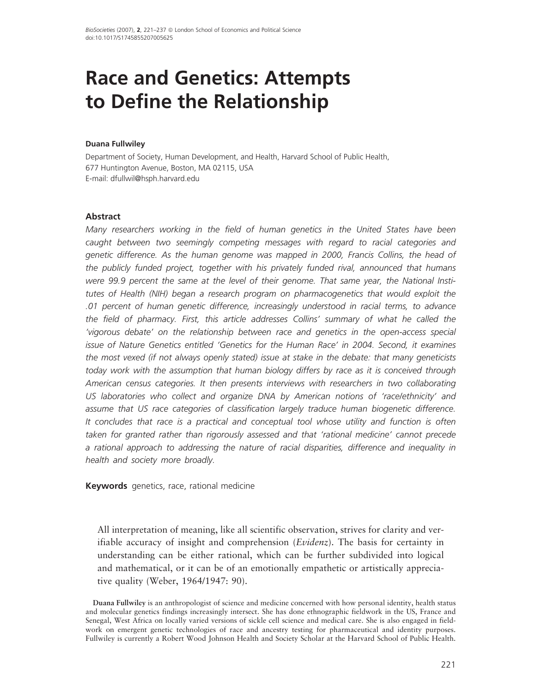# Race and Genetics: Attempts to Define the Relationship

#### Duana Fullwiley

Department of Society, Human Development, and Health, Harvard School of Public Health, 677 Huntington Avenue, Boston, MA 02115, USA E-mail: dfullwil@hsph.harvard.edu

#### Abstract

Many researchers working in the field of human genetics in the United States have been caught between two seemingly competing messages with regard to racial categories and genetic difference. As the human genome was mapped in 2000, Francis Collins, the head of the publicly funded project, together with his privately funded rival, announced that humans were 99.9 percent the same at the level of their genome. That same year, the National Institutes of Health (NIH) began a research program on pharmacogenetics that would exploit the .01 percent of human genetic difference, increasingly understood in racial terms, to advance the field of pharmacy. First, this article addresses Collins' summary of what he called the 'vigorous debate' on the relationship between race and genetics in the open-access special issue of Nature Genetics entitled 'Genetics for the Human Race' in 2004. Second, it examines the most vexed (if not always openly stated) issue at stake in the debate: that many geneticists today work with the assumption that human biology differs by race as it is conceived through American census categories. It then presents interviews with researchers in two collaborating US laboratories who collect and organize DNA by American notions of 'race/ethnicity' and assume that US race categories of classification largely traduce human biogenetic difference. It concludes that race is a practical and conceptual tool whose utility and function is often taken for granted rather than rigorously assessed and that 'rational medicine' cannot precede a rational approach to addressing the nature of racial disparities, difference and inequality in health and society more broadly.

Keywords genetics, race, rational medicine

All interpretation of meaning, like all scientific observation, strives for clarity and verifiable accuracy of insight and comprehension (*Evidenz*). The basis for certainty in understanding can be either rational, which can be further subdivided into logical and mathematical, or it can be of an emotionally empathetic or artistically appreciative quality (Weber, 1964/1947: 90).

Duana Fullwiley is an anthropologist of science and medicine concerned with how personal identity, health status and molecular genetics findings increasingly intersect. She has done ethnographic fieldwork in the US, France and Senegal, West Africa on locally varied versions of sickle cell science and medical care. She is also engaged in fieldwork on emergent genetic technologies of race and ancestry testing for pharmaceutical and identity purposes. Fullwiley is currently a Robert Wood Johnson Health and Society Scholar at the Harvard School of Public Health.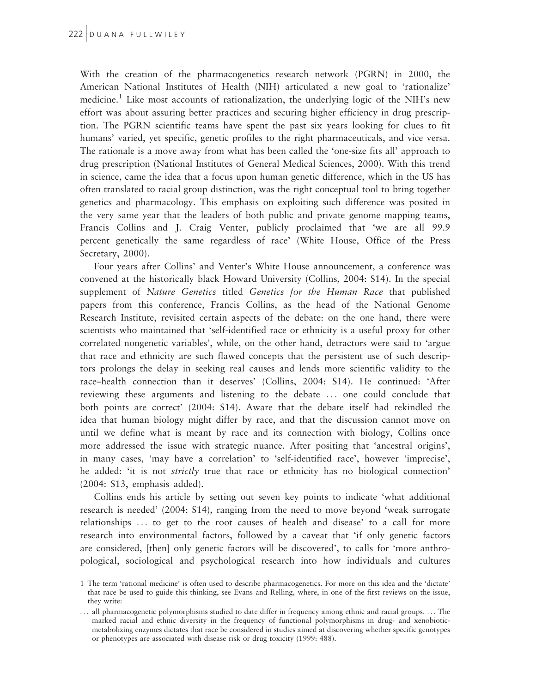With the creation of the pharmacogenetics research network (PGRN) in 2000, the American National Institutes of Health (NIH) articulated a new goal to 'rationalize' medicine.<sup>1</sup> Like most accounts of rationalization, the underlying logic of the NIH's new effort was about assuring better practices and securing higher efficiency in drug prescription. The PGRN scientific teams have spent the past six years looking for clues to fit humans' varied, yet specific, genetic profiles to the right pharmaceuticals, and vice versa. The rationale is a move away from what has been called the 'one-size fits all' approach to drug prescription (National Institutes of General Medical Sciences, 2000). With this trend in science, came the idea that a focus upon human genetic difference, which in the US has often translated to racial group distinction, was the right conceptual tool to bring together genetics and pharmacology. This emphasis on exploiting such difference was posited in the very same year that the leaders of both public and private genome mapping teams, Francis Collins and J. Craig Venter, publicly proclaimed that 'we are all 99.9 percent genetically the same regardless of race' (White House, Office of the Press Secretary, 2000).

Four years after Collins' and Venter's White House announcement, a conference was convened at the historically black Howard University (Collins, 2004: S14). In the special supplement of Nature Genetics titled Genetics for the Human Race that published papers from this conference, Francis Collins, as the head of the National Genome Research Institute, revisited certain aspects of the debate: on the one hand, there were scientists who maintained that 'self-identified race or ethnicity is a useful proxy for other correlated nongenetic variables', while, on the other hand, detractors were said to 'argue that race and ethnicity are such flawed concepts that the persistent use of such descriptors prolongs the delay in seeking real causes and lends more scientific validity to the race–health connection than it deserves' (Collins, 2004: S14). He continued: 'After reviewing these arguments and listening to the debate ... one could conclude that both points are correct' (2004: S14). Aware that the debate itself had rekindled the idea that human biology might differ by race, and that the discussion cannot move on until we define what is meant by race and its connection with biology, Collins once more addressed the issue with strategic nuance. After positing that 'ancestral origins', in many cases, 'may have a correlation' to 'self-identified race', however 'imprecise', he added: 'it is not strictly true that race or ethnicity has no biological connection' (2004: S13, emphasis added).

Collins ends his article by setting out seven key points to indicate 'what additional research is needed' (2004: S14), ranging from the need to move beyond 'weak surrogate relationships ... to get to the root causes of health and disease' to a call for more research into environmental factors, followed by a caveat that 'if only genetic factors are considered, [then] only genetic factors will be discovered', to calls for 'more anthropological, sociological and psychological research into how individuals and cultures

<sup>1</sup> The term 'rational medicine' is often used to describe pharmacogenetics. For more on this idea and the 'dictate' that race be used to guide this thinking, see Evans and Relling, where, in one of the first reviews on the issue, they write:

<sup>...</sup> all pharmacogenetic polymorphisms studied to date differ in frequency among ethnic and racial groups. ... The marked racial and ethnic diversity in the frequency of functional polymorphisms in drug- and xenobioticmetabolizing enzymes dictates that race be considered in studies aimed at discovering whether specific genotypes or phenotypes are associated with disease risk or drug toxicity (1999: 488).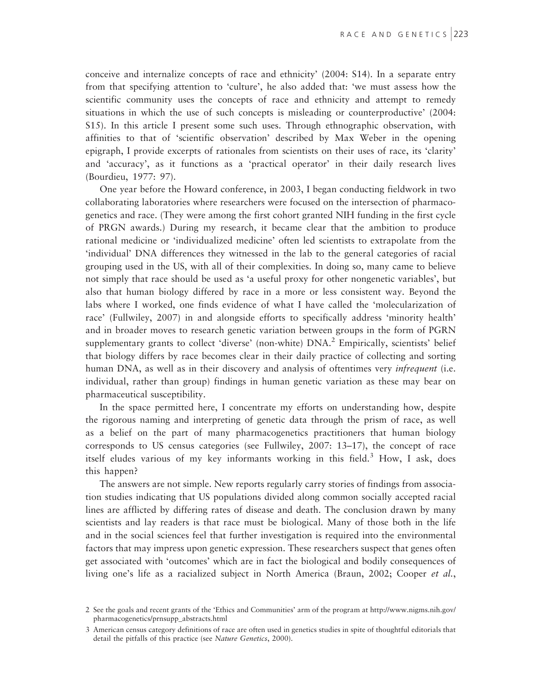conceive and internalize concepts of race and ethnicity' (2004: S14). In a separate entry from that specifying attention to 'culture', he also added that: 'we must assess how the scientific community uses the concepts of race and ethnicity and attempt to remedy situations in which the use of such concepts is misleading or counterproductive' (2004: S15). In this article I present some such uses. Through ethnographic observation, with affinities to that of 'scientific observation' described by Max Weber in the opening epigraph, I provide excerpts of rationales from scientists on their uses of race, its 'clarity' and 'accuracy', as it functions as a 'practical operator' in their daily research lives (Bourdieu, 1977: 97).

One year before the Howard conference, in 2003, I began conducting fieldwork in two collaborating laboratories where researchers were focused on the intersection of pharmacogenetics and race. (They were among the first cohort granted NIH funding in the first cycle of PRGN awards.) During my research, it became clear that the ambition to produce rational medicine or 'individualized medicine' often led scientists to extrapolate from the 'individual' DNA differences they witnessed in the lab to the general categories of racial grouping used in the US, with all of their complexities. In doing so, many came to believe not simply that race should be used as 'a useful proxy for other nongenetic variables', but also that human biology differed by race in a more or less consistent way. Beyond the labs where I worked, one finds evidence of what I have called the 'molecularization of race' (Fullwiley, 2007) in and alongside efforts to specifically address 'minority health' and in broader moves to research genetic variation between groups in the form of PGRN supplementary grants to collect 'diverse' (non-white) DNA.<sup>2</sup> Empirically, scientists' belief that biology differs by race becomes clear in their daily practice of collecting and sorting human DNA, as well as in their discovery and analysis of oftentimes very *infrequent* (i.e. individual, rather than group) findings in human genetic variation as these may bear on pharmaceutical susceptibility.

In the space permitted here, I concentrate my efforts on understanding how, despite the rigorous naming and interpreting of genetic data through the prism of race, as well as a belief on the part of many pharmacogenetics practitioners that human biology corresponds to US census categories (see Fullwiley, 2007: 13–17), the concept of race itself eludes various of my key informants working in this field.<sup>3</sup> How, I ask, does this happen?

The answers are not simple. New reports regularly carry stories of findings from association studies indicating that US populations divided along common socially accepted racial lines are afflicted by differing rates of disease and death. The conclusion drawn by many scientists and lay readers is that race must be biological. Many of those both in the life and in the social sciences feel that further investigation is required into the environmental factors that may impress upon genetic expression. These researchers suspect that genes often get associated with 'outcomes' which are in fact the biological and bodily consequences of living one's life as a racialized subject in North America (Braun, 2002; Cooper et al.,

<sup>2</sup> See the goals and recent grants of the 'Ethics and Communities' arm of the program at http://www.nigms.nih.gov/ pharmacogenetics/prnsupp\_abstracts.html

<sup>3</sup> American census category definitions of race are often used in genetics studies in spite of thoughtful editorials that detail the pitfalls of this practice (see Nature Genetics, 2000).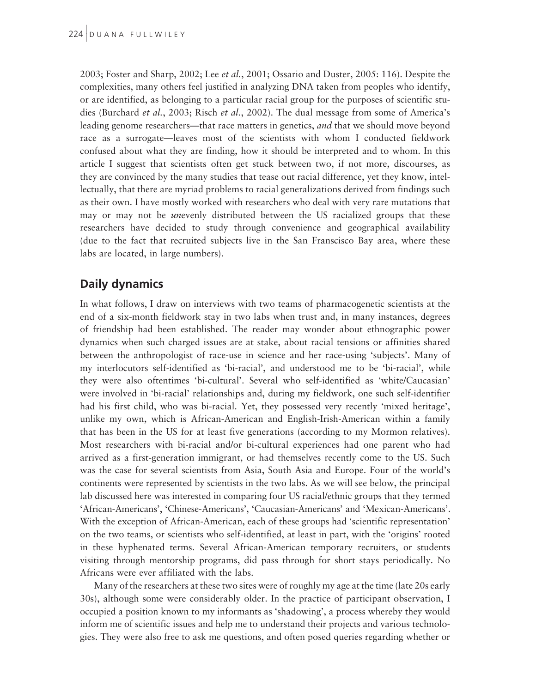2003; Foster and Sharp, 2002; Lee *et al.*, 2001; Ossario and Duster, 2005: 116). Despite the complexities, many others feel justified in analyzing DNA taken from peoples who identify, or are identified, as belonging to a particular racial group for the purposes of scientific studies (Burchard et al., 2003; Risch et al., 2002). The dual message from some of America's leading genome researchers—that race matters in genetics, and that we should move beyond race as a surrogate—leaves most of the scientists with whom I conducted fieldwork confused about what they are finding, how it should be interpreted and to whom. In this article I suggest that scientists often get stuck between two, if not more, discourses, as they are convinced by the many studies that tease out racial difference, yet they know, intellectually, that there are myriad problems to racial generalizations derived from findings such as their own. I have mostly worked with researchers who deal with very rare mutations that may or may not be *un*evenly distributed between the US racialized groups that these researchers have decided to study through convenience and geographical availability (due to the fact that recruited subjects live in the San Franscisco Bay area, where these labs are located, in large numbers).

## Daily dynamics

In what follows, I draw on interviews with two teams of pharmacogenetic scientists at the end of a six-month fieldwork stay in two labs when trust and, in many instances, degrees of friendship had been established. The reader may wonder about ethnographic power dynamics when such charged issues are at stake, about racial tensions or affinities shared between the anthropologist of race-use in science and her race-using 'subjects'. Many of my interlocutors self-identified as 'bi-racial', and understood me to be 'bi-racial', while they were also oftentimes 'bi-cultural'. Several who self-identified as 'white/Caucasian' were involved in 'bi-racial' relationships and, during my fieldwork, one such self-identifier had his first child, who was bi-racial. Yet, they possessed very recently 'mixed heritage', unlike my own, which is African-American and English-Irish-American within a family that has been in the US for at least five generations (according to my Mormon relatives). Most researchers with bi-racial and/or bi-cultural experiences had one parent who had arrived as a first-generation immigrant, or had themselves recently come to the US. Such was the case for several scientists from Asia, South Asia and Europe. Four of the world's continents were represented by scientists in the two labs. As we will see below, the principal lab discussed here was interested in comparing four US racial/ethnic groups that they termed 'African-Americans', 'Chinese-Americans', 'Caucasian-Americans' and 'Mexican-Americans'. With the exception of African-American, each of these groups had 'scientific representation' on the two teams, or scientists who self-identified, at least in part, with the 'origins' rooted in these hyphenated terms. Several African-American temporary recruiters, or students visiting through mentorship programs, did pass through for short stays periodically. No Africans were ever affiliated with the labs.

Many of the researchers at these two sites were of roughly my age at the time (late 20s early 30s), although some were considerably older. In the practice of participant observation, I occupied a position known to my informants as 'shadowing', a process whereby they would inform me of scientific issues and help me to understand their projects and various technologies. They were also free to ask me questions, and often posed queries regarding whether or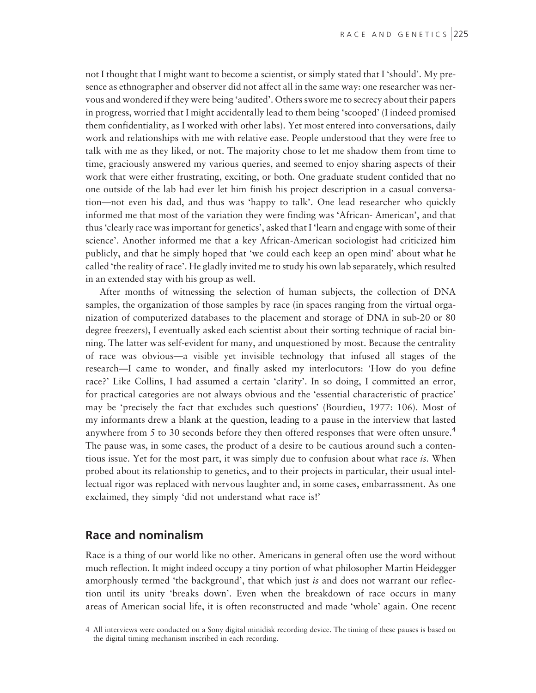not I thought that I might want to become a scientist, or simply stated that I 'should'. My presence as ethnographer and observer did not affect all in the same way: one researcher was nervous and wondered if they were being 'audited'. Others swore me to secrecy about their papers in progress, worried that I might accidentally lead to them being 'scooped' (I indeed promised them confidentiality, as I worked with other labs). Yet most entered into conversations, daily work and relationships with me with relative ease. People understood that they were free to talk with me as they liked, or not. The majority chose to let me shadow them from time to time, graciously answered my various queries, and seemed to enjoy sharing aspects of their work that were either frustrating, exciting, or both. One graduate student confided that no one outside of the lab had ever let him finish his project description in a casual conversation—not even his dad, and thus was 'happy to talk'. One lead researcher who quickly informed me that most of the variation they were finding was 'African- American', and that thus 'clearly race was important for genetics', asked that I 'learn and engage with some of their science'. Another informed me that a key African-American sociologist had criticized him publicly, and that he simply hoped that 'we could each keep an open mind' about what he called 'the reality of race'. He gladly invited me to study his own lab separately, which resulted in an extended stay with his group as well.

After months of witnessing the selection of human subjects, the collection of DNA samples, the organization of those samples by race (in spaces ranging from the virtual organization of computerized databases to the placement and storage of DNA in sub-20 or 80 degree freezers), I eventually asked each scientist about their sorting technique of racial binning. The latter was self-evident for many, and unquestioned by most. Because the centrality of race was obvious—a visible yet invisible technology that infused all stages of the research—I came to wonder, and finally asked my interlocutors: 'How do you define race?' Like Collins, I had assumed a certain 'clarity'. In so doing, I committed an error, for practical categories are not always obvious and the 'essential characteristic of practice' may be 'precisely the fact that excludes such questions' (Bourdieu, 1977: 106). Most of my informants drew a blank at the question, leading to a pause in the interview that lasted anywhere from 5 to 30 seconds before they then offered responses that were often unsure.<sup>4</sup> The pause was, in some cases, the product of a desire to be cautious around such a contentious issue. Yet for the most part, it was simply due to confusion about what race is. When probed about its relationship to genetics, and to their projects in particular, their usual intellectual rigor was replaced with nervous laughter and, in some cases, embarrassment. As one exclaimed, they simply 'did not understand what race is!'

### Race and nominalism

Race is a thing of our world like no other. Americans in general often use the word without much reflection. It might indeed occupy a tiny portion of what philosopher Martin Heidegger amorphously termed 'the background', that which just is and does not warrant our reflection until its unity 'breaks down'. Even when the breakdown of race occurs in many areas of American social life, it is often reconstructed and made 'whole' again. One recent

<sup>4</sup> All interviews were conducted on a Sony digital minidisk recording device. The timing of these pauses is based on the digital timing mechanism inscribed in each recording.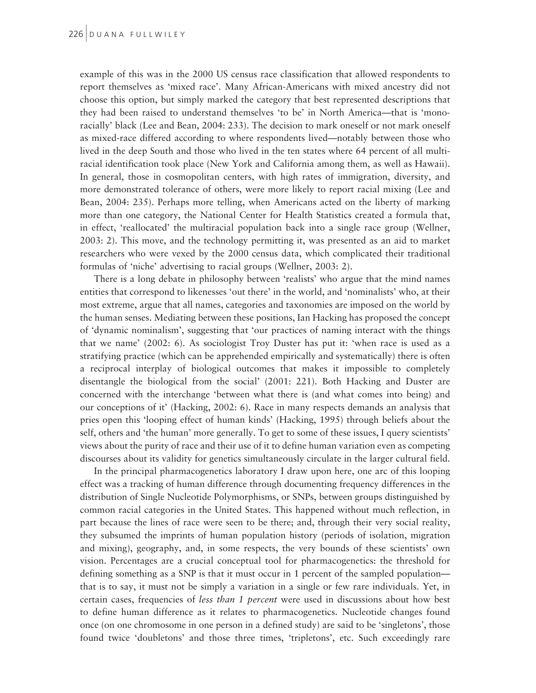example of this was in the 2000 US census race classification that allowed respondents to report themselves as 'mixed race'. Many African-Americans with mixed ancestry did not choose this option, but simply marked the category that best represented descriptions that they had been raised to understand themselves 'to be' in North America—that is 'monoracially' black (Lee and Bean, 2004: 233). The decision to mark oneself or not mark oneself as mixed-race differed according to where respondents lived—notably between those who lived in the deep South and those who lived in the ten states where 64 percent of all multiracial identification took place (New York and California among them, as well as Hawaii). In general, those in cosmopolitan centers, with high rates of immigration, diversity, and more demonstrated tolerance of others, were more likely to report racial mixing (Lee and Bean, 2004: 235). Perhaps more telling, when Americans acted on the liberty of marking more than one category, the National Center for Health Statistics created a formula that, in effect, 'reallocated' the multiracial population back into a single race group (Wellner, 2003: 2). This move, and the technology permitting it, was presented as an aid to market researchers who were vexed by the 2000 census data, which complicated their traditional formulas of 'niche' advertising to racial groups (Wellner, 2003: 2).

There is a long debate in philosophy between 'realists' who argue that the mind names entities that correspond to likenesses 'out there' in the world, and 'nominalists' who, at their most extreme, argue that all names, categories and taxonomies are imposed on the world by the human senses. Mediating between these positions, Ian Hacking has proposed the concept of 'dynamic nominalism', suggesting that 'our practices of naming interact with the things that we name' (2002: 6). As sociologist Troy Duster has put it: 'when race is used as a stratifying practice (which can be apprehended empirically and systematically) there is often a reciprocal interplay of biological outcomes that makes it impossible to completely disentangle the biological from the social' (2001: 221). Both Hacking and Duster are concerned with the interchange 'between what there is (and what comes into being) and our conceptions of it' (Hacking, 2002: 6). Race in many respects demands an analysis that pries open this 'looping effect of human kinds' (Hacking, 1995) through beliefs about the self, others and 'the human' more generally. To get to some of these issues, I query scientists' views about the purity of race and their use of it to define human variation even as competing discourses about its validity for genetics simultaneously circulate in the larger cultural field.

In the principal pharmacogenetics laboratory I draw upon here, one arc of this looping effect was a tracking of human difference through documenting frequency differences in the distribution of Single Nucleotide Polymorphisms, or SNPs, between groups distinguished by common racial categories in the United States. This happened without much reflection, in part because the lines of race were seen to be there; and, through their very social reality, they subsumed the imprints of human population history (periods of isolation, migration and mixing), geography, and, in some respects, the very bounds of these scientists' own vision. Percentages are a crucial conceptual tool for pharmacogenetics: the threshold for defining something as a SNP is that it must occur in 1 percent of the sampled population that is to say, it must not be simply a variation in a single or few rare individuals. Yet, in certain cases, frequencies of *less than 1 percent* were used in discussions about how best to define human difference as it relates to pharmacogenetics. Nucleotide changes found once (on one chromosome in one person in a defined study) are said to be 'singletons', those found twice 'doubletons' and those three times, 'tripletons', etc. Such exceedingly rare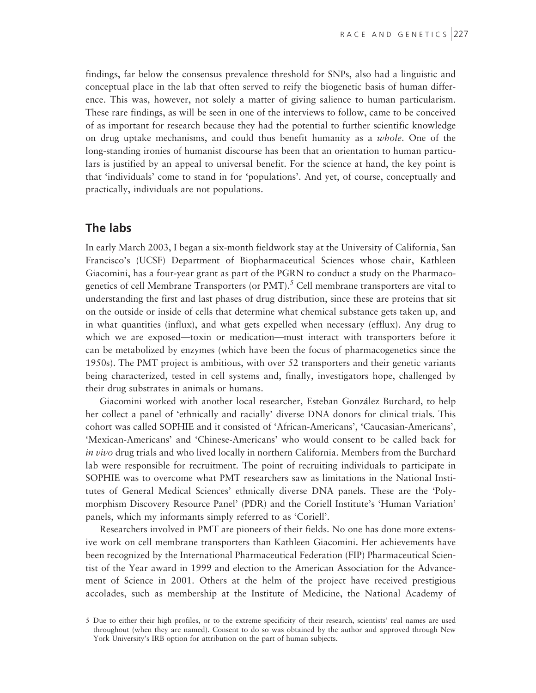findings, far below the consensus prevalence threshold for SNPs, also had a linguistic and conceptual place in the lab that often served to reify the biogenetic basis of human difference. This was, however, not solely a matter of giving salience to human particularism. These rare findings, as will be seen in one of the interviews to follow, came to be conceived of as important for research because they had the potential to further scientific knowledge on drug uptake mechanisms, and could thus benefit humanity as a *whole*. One of the long-standing ironies of humanist discourse has been that an orientation to human particulars is justified by an appeal to universal benefit. For the science at hand, the key point is that 'individuals' come to stand in for 'populations'. And yet, of course, conceptually and practically, individuals are not populations.

### The labs

In early March 2003, I began a six-month fieldwork stay at the University of California, San Francisco's (UCSF) Department of Biopharmaceutical Sciences whose chair, Kathleen Giacomini, has a four-year grant as part of the PGRN to conduct a study on the Pharmacogenetics of cell Membrane Transporters (or PMT).<sup>5</sup> Cell membrane transporters are vital to understanding the first and last phases of drug distribution, since these are proteins that sit on the outside or inside of cells that determine what chemical substance gets taken up, and in what quantities (influx), and what gets expelled when necessary (efflux). Any drug to which we are exposed—toxin or medication—must interact with transporters before it can be metabolized by enzymes (which have been the focus of pharmacogenetics since the 1950s). The PMT project is ambitious, with over 52 transporters and their genetic variants being characterized, tested in cell systems and, finally, investigators hope, challenged by their drug substrates in animals or humans.

Giacomini worked with another local researcher, Esteban González Burchard, to help her collect a panel of 'ethnically and racially' diverse DNA donors for clinical trials. This cohort was called SOPHIE and it consisted of 'African-Americans', 'Caucasian-Americans', 'Mexican-Americans' and 'Chinese-Americans' who would consent to be called back for in vivo drug trials and who lived locally in northern California. Members from the Burchard lab were responsible for recruitment. The point of recruiting individuals to participate in SOPHIE was to overcome what PMT researchers saw as limitations in the National Institutes of General Medical Sciences' ethnically diverse DNA panels. These are the 'Polymorphism Discovery Resource Panel' (PDR) and the Coriell Institute's 'Human Variation' panels, which my informants simply referred to as 'Coriell'.

Researchers involved in PMT are pioneers of their fields. No one has done more extensive work on cell membrane transporters than Kathleen Giacomini. Her achievements have been recognized by the International Pharmaceutical Federation (FIP) Pharmaceutical Scientist of the Year award in 1999 and election to the American Association for the Advancement of Science in 2001. Others at the helm of the project have received prestigious accolades, such as membership at the Institute of Medicine, the National Academy of

<sup>5</sup> Due to either their high profiles, or to the extreme specificity of their research, scientists' real names are used throughout (when they are named). Consent to do so was obtained by the author and approved through New York University's IRB option for attribution on the part of human subjects.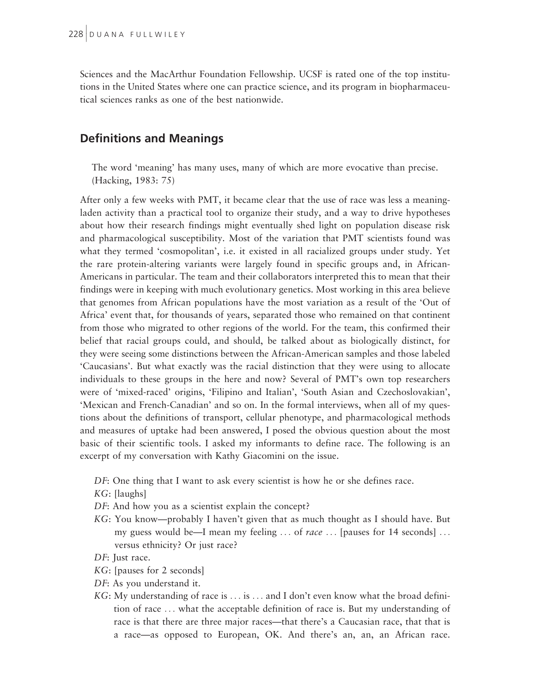Sciences and the MacArthur Foundation Fellowship. UCSF is rated one of the top institutions in the United States where one can practice science, and its program in biopharmaceutical sciences ranks as one of the best nationwide.

## Definitions and Meanings

The word 'meaning' has many uses, many of which are more evocative than precise. (Hacking, 1983: 75)

After only a few weeks with PMT, it became clear that the use of race was less a meaningladen activity than a practical tool to organize their study, and a way to drive hypotheses about how their research findings might eventually shed light on population disease risk and pharmacological susceptibility. Most of the variation that PMT scientists found was what they termed 'cosmopolitan', i.e. it existed in all racialized groups under study. Yet the rare protein-altering variants were largely found in specific groups and, in African-Americans in particular. The team and their collaborators interpreted this to mean that their findings were in keeping with much evolutionary genetics. Most working in this area believe that genomes from African populations have the most variation as a result of the 'Out of Africa' event that, for thousands of years, separated those who remained on that continent from those who migrated to other regions of the world. For the team, this confirmed their belief that racial groups could, and should, be talked about as biologically distinct, for they were seeing some distinctions between the African-American samples and those labeled 'Caucasians'. But what exactly was the racial distinction that they were using to allocate individuals to these groups in the here and now? Several of PMT's own top researchers were of 'mixed-raced' origins, 'Filipino and Italian', 'South Asian and Czechoslovakian', 'Mexican and French-Canadian' and so on. In the formal interviews, when all of my questions about the definitions of transport, cellular phenotype, and pharmacological methods and measures of uptake had been answered, I posed the obvious question about the most basic of their scientific tools. I asked my informants to define race. The following is an excerpt of my conversation with Kathy Giacomini on the issue.

- DF: One thing that I want to ask every scientist is how he or she defines race.
- KG: [laughs]
- DF: And how you as a scientist explain the concept?
- KG: You know—probably I haven't given that as much thought as I should have. But my guess would be—I mean my feeling  $\dots$  of *race*  $\dots$  [pauses for 14 seconds]  $\dots$ versus ethnicity? Or just race?
- DF: Just race.
- KG: [pauses for 2 seconds]
- DF: As you understand it.
- KG: My understanding of race is ... is ... and I don't even know what the broad definition of race ... what the acceptable definition of race is. But my understanding of race is that there are three major races—that there's a Caucasian race, that that is a race—as opposed to European, OK. And there's an, an, an African race.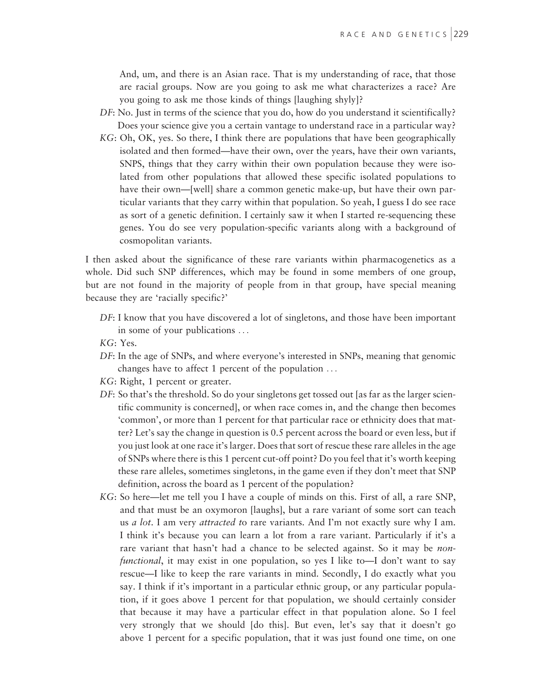And, um, and there is an Asian race. That is my understanding of race, that those are racial groups. Now are you going to ask me what characterizes a race? Are you going to ask me those kinds of things [laughing shyly]?

- DF: No. Just in terms of the science that you do, how do you understand it scientifically? Does your science give you a certain vantage to understand race in a particular way?
- KG: Oh, OK, yes. So there, I think there are populations that have been geographically isolated and then formed—have their own, over the years, have their own variants, SNPS, things that they carry within their own population because they were isolated from other populations that allowed these specific isolated populations to have their own—[well] share a common genetic make-up, but have their own particular variants that they carry within that population. So yeah, I guess I do see race as sort of a genetic definition. I certainly saw it when I started re-sequencing these genes. You do see very population-specific variants along with a background of cosmopolitan variants.

I then asked about the significance of these rare variants within pharmacogenetics as a whole. Did such SNP differences, which may be found in some members of one group, but are not found in the majority of people from in that group, have special meaning because they are 'racially specific?'

DF: I know that you have discovered a lot of singletons, and those have been important in some of your publications ...

KG: Yes.

- DF: In the age of SNPs, and where everyone's interested in SNPs, meaning that genomic changes have to affect 1 percent of the population ...
- KG: Right, 1 percent or greater.
- DF: So that's the threshold. So do your singletons get tossed out [as far as the larger scientific community is concerned], or when race comes in, and the change then becomes 'common', or more than 1 percent for that particular race or ethnicity does that matter? Let's say the change in question is 0.5 percent across the board or even less, but if you just look at one race it's larger. Does that sort of rescue these rare alleles in the age of SNPs where there is this 1 percent cut-off point? Do you feel that it's worth keeping these rare alleles, sometimes singletons, in the game even if they don't meet that SNP definition, across the board as 1 percent of the population?
- KG: So here—let me tell you I have a couple of minds on this. First of all, a rare SNP, and that must be an oxymoron [laughs], but a rare variant of some sort can teach us *a lot*. I am very *attracted to rare variants*. And I'm not exactly sure why I am. I think it's because you can learn a lot from a rare variant. Particularly if it's a rare variant that hasn't had a chance to be selected against. So it may be *non*functional, it may exist in one population, so yes I like to—I don't want to say rescue—I like to keep the rare variants in mind. Secondly, I do exactly what you say. I think if it's important in a particular ethnic group, or any particular population, if it goes above 1 percent for that population, we should certainly consider that because it may have a particular effect in that population alone. So I feel very strongly that we should [do this]. But even, let's say that it doesn't go above 1 percent for a specific population, that it was just found one time, on one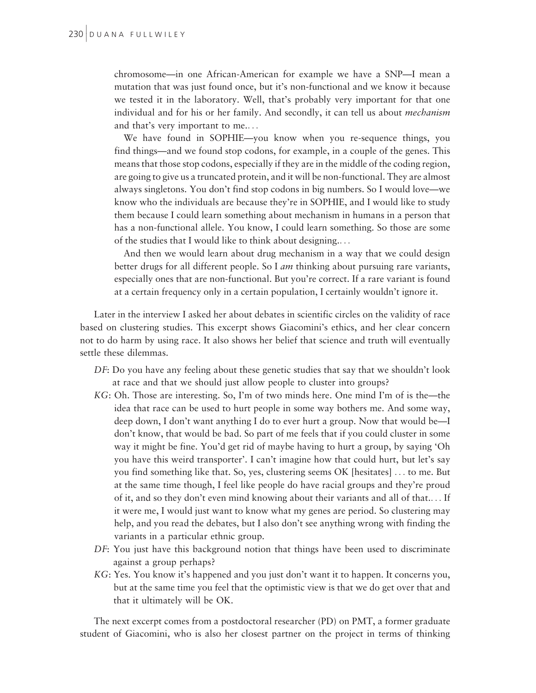chromosome—in one African-American for example we have a SNP—I mean a mutation that was just found once, but it's non-functional and we know it because we tested it in the laboratory. Well, that's probably very important for that one individual and for his or her family. And secondly, it can tell us about *mechanism* and that's very important to me....

We have found in SOPHIE—you know when you re-sequence things, you find things—and we found stop codons, for example, in a couple of the genes. This means that those stop codons, especially if they are in the middle of the coding region, are going to give us a truncated protein, and it will be non-functional. They are almost always singletons. You don't find stop codons in big numbers. So I would love—we know who the individuals are because they're in SOPHIE, and I would like to study them because I could learn something about mechanism in humans in a person that has a non-functional allele. You know, I could learn something. So those are some of the studies that I would like to think about designing....

And then we would learn about drug mechanism in a way that we could design better drugs for all different people. So I *am* thinking about pursuing rare variants, especially ones that are non-functional. But you're correct. If a rare variant is found at a certain frequency only in a certain population, I certainly wouldn't ignore it.

Later in the interview I asked her about debates in scientific circles on the validity of race based on clustering studies. This excerpt shows Giacomini's ethics, and her clear concern not to do harm by using race. It also shows her belief that science and truth will eventually settle these dilemmas.

- DF: Do you have any feeling about these genetic studies that say that we shouldn't look at race and that we should just allow people to cluster into groups?
- KG: Oh. Those are interesting. So, I'm of two minds here. One mind I'm of is the—the idea that race can be used to hurt people in some way bothers me. And some way, deep down, I don't want anything I do to ever hurt a group. Now that would be—I don't know, that would be bad. So part of me feels that if you could cluster in some way it might be fine. You'd get rid of maybe having to hurt a group, by saying 'Oh you have this weird transporter'. I can't imagine how that could hurt, but let's say you find something like that. So, yes, clustering seems OK [hesitates] ... to me. But at the same time though, I feel like people do have racial groups and they're proud of it, and so they don't even mind knowing about their variants and all of that.... If it were me, I would just want to know what my genes are period. So clustering may help, and you read the debates, but I also don't see anything wrong with finding the variants in a particular ethnic group.
- DF: You just have this background notion that things have been used to discriminate against a group perhaps?
- KG: Yes. You know it's happened and you just don't want it to happen. It concerns you, but at the same time you feel that the optimistic view is that we do get over that and that it ultimately will be OK.

The next excerpt comes from a postdoctoral researcher (PD) on PMT, a former graduate student of Giacomini, who is also her closest partner on the project in terms of thinking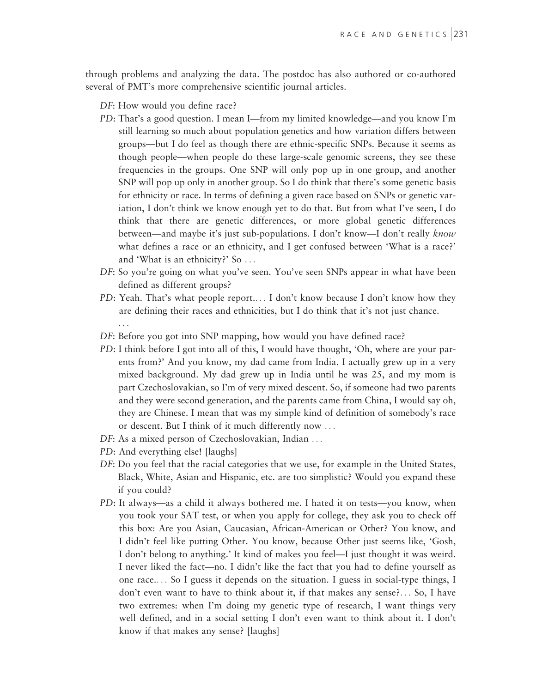through problems and analyzing the data. The postdoc has also authored or co-authored several of PMT's more comprehensive scientific journal articles.

DF: How would you define race?

- PD: That's a good question. I mean I—from my limited knowledge—and you know I'm still learning so much about population genetics and how variation differs between groups—but I do feel as though there are ethnic-specific SNPs. Because it seems as though people—when people do these large-scale genomic screens, they see these frequencies in the groups. One SNP will only pop up in one group, and another SNP will pop up only in another group. So I do think that there's some genetic basis for ethnicity or race. In terms of defining a given race based on SNPs or genetic variation, I don't think we know enough yet to do that. But from what I've seen, I do think that there are genetic differences, or more global genetic differences between—and maybe it's just sub-populations. I don't know—I don't really know what defines a race or an ethnicity, and I get confused between 'What is a race?' and 'What is an ethnicity?' So ...
- DF: So you're going on what you've seen. You've seen SNPs appear in what have been defined as different groups?
- PD: Yeah. That's what people report.... I don't know because I don't know how they are defining their races and ethnicities, but I do think that it's not just chance. ...
- DF: Before you got into SNP mapping, how would you have defined race?
- PD: I think before I got into all of this, I would have thought, 'Oh, where are your parents from?' And you know, my dad came from India. I actually grew up in a very mixed background. My dad grew up in India until he was 25, and my mom is part Czechoslovakian, so I'm of very mixed descent. So, if someone had two parents and they were second generation, and the parents came from China, I would say oh, they are Chinese. I mean that was my simple kind of definition of somebody's race or descent. But I think of it much differently now ...
- DF: As a mixed person of Czechoslovakian, Indian ...
- PD: And everything else! [laughs]
- DF: Do you feel that the racial categories that we use, for example in the United States, Black, White, Asian and Hispanic, etc. are too simplistic? Would you expand these if you could?
- PD: It always—as a child it always bothered me. I hated it on tests—you know, when you took your SAT test, or when you apply for college, they ask you to check off this box: Are you Asian, Caucasian, African-American or Other? You know, and I didn't feel like putting Other. You know, because Other just seems like, 'Gosh, I don't belong to anything.' It kind of makes you feel—I just thought it was weird. I never liked the fact—no. I didn't like the fact that you had to define yourself as one race.... So I guess it depends on the situation. I guess in social-type things, I don't even want to have to think about it, if that makes any sense?... So, I have two extremes: when I'm doing my genetic type of research, I want things very well defined, and in a social setting I don't even want to think about it. I don't know if that makes any sense? [laughs]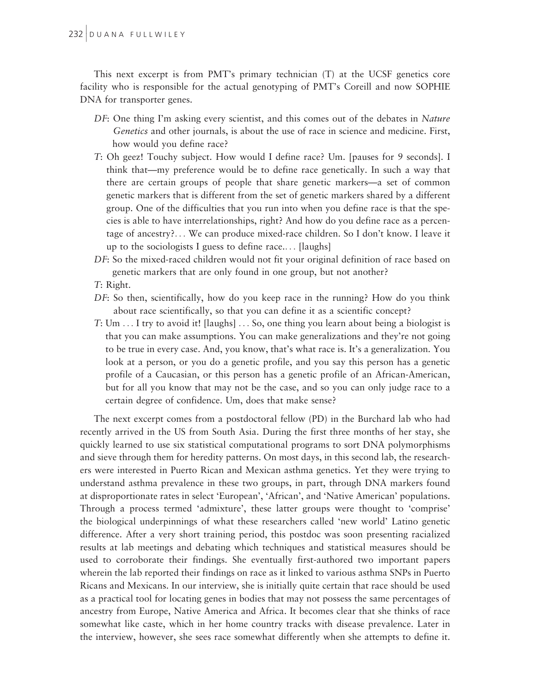This next excerpt is from PMT's primary technician (T) at the UCSF genetics core facility who is responsible for the actual genotyping of PMT's Coreill and now SOPHIE DNA for transporter genes.

- DF: One thing I'm asking every scientist, and this comes out of the debates in *Nature* Genetics and other journals, is about the use of race in science and medicine. First, how would you define race?
- T: Oh geez! Touchy subject. How would I define race? Um. [pauses for 9 seconds]. I think that—my preference would be to define race genetically. In such a way that there are certain groups of people that share genetic markers—a set of common genetic markers that is different from the set of genetic markers shared by a different group. One of the difficulties that you run into when you define race is that the species is able to have interrelationships, right? And how do you define race as a percentage of ancestry?... We can produce mixed-race children. So I don't know. I leave it up to the sociologists I guess to define race.... [laughs]
- DF: So the mixed-raced children would not fit your original definition of race based on genetic markers that are only found in one group, but not another?
- T: Right.
- DF: So then, scientifically, how do you keep race in the running? How do you think about race scientifically, so that you can define it as a scientific concept?
- T: Um  $\dots$  I try to avoid it! [laughs]  $\dots$  So, one thing you learn about being a biologist is that you can make assumptions. You can make generalizations and they're not going to be true in every case. And, you know, that's what race is. It's a generalization. You look at a person, or you do a genetic profile, and you say this person has a genetic profile of a Caucasian, or this person has a genetic profile of an African-American, but for all you know that may not be the case, and so you can only judge race to a certain degree of confidence. Um, does that make sense?

The next excerpt comes from a postdoctoral fellow (PD) in the Burchard lab who had recently arrived in the US from South Asia. During the first three months of her stay, she quickly learned to use six statistical computational programs to sort DNA polymorphisms and sieve through them for heredity patterns. On most days, in this second lab, the researchers were interested in Puerto Rican and Mexican asthma genetics. Yet they were trying to understand asthma prevalence in these two groups, in part, through DNA markers found at disproportionate rates in select 'European', 'African', and 'Native American' populations. Through a process termed 'admixture', these latter groups were thought to 'comprise' the biological underpinnings of what these researchers called 'new world' Latino genetic difference. After a very short training period, this postdoc was soon presenting racialized results at lab meetings and debating which techniques and statistical measures should be used to corroborate their findings. She eventually first-authored two important papers wherein the lab reported their findings on race as it linked to various asthma SNPs in Puerto Ricans and Mexicans. In our interview, she is initially quite certain that race should be used as a practical tool for locating genes in bodies that may not possess the same percentages of ancestry from Europe, Native America and Africa. It becomes clear that she thinks of race somewhat like caste, which in her home country tracks with disease prevalence. Later in the interview, however, she sees race somewhat differently when she attempts to define it.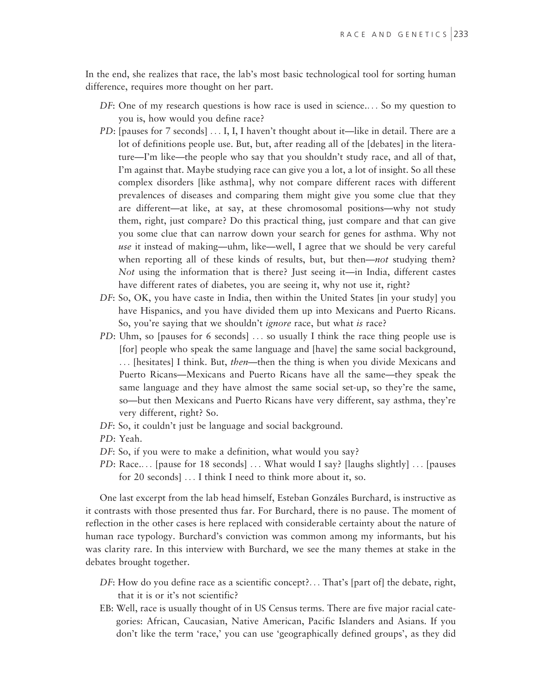In the end, she realizes that race, the lab's most basic technological tool for sorting human difference, requires more thought on her part.

- DF: One of my research questions is how race is used in science.... So my question to you is, how would you define race?
- PD: [pauses for 7 seconds] ... I, I, I haven't thought about it—like in detail. There are a lot of definitions people use. But, but, after reading all of the [debates] in the literature—I'm like—the people who say that you shouldn't study race, and all of that, I'm against that. Maybe studying race can give you a lot, a lot of insight. So all these complex disorders [like asthma], why not compare different races with different prevalences of diseases and comparing them might give you some clue that they are different—at like, at say, at these chromosomal positions—why not study them, right, just compare? Do this practical thing, just compare and that can give you some clue that can narrow down your search for genes for asthma. Why not use it instead of making—uhm, like—well, I agree that we should be very careful when reporting all of these kinds of results, but, but then—*not* studying them? Not using the information that is there? Just seeing it—in India, different castes have different rates of diabetes, you are seeing it, why not use it, right?
- DF: So, OK, you have caste in India, then within the United States [in your study] you have Hispanics, and you have divided them up into Mexicans and Puerto Ricans. So, you're saying that we shouldn't *ignore* race, but what *is* race?
- PD: Uhm, so [pauses for 6 seconds] ... so usually I think the race thing people use is [for] people who speak the same language and [have] the same social background, ... [hesitates] I think. But, *then*—then the thing is when you divide Mexicans and Puerto Ricans—Mexicans and Puerto Ricans have all the same—they speak the same language and they have almost the same social set-up, so they're the same, so—but then Mexicans and Puerto Ricans have very different, say asthma, they're very different, right? So.
- DF: So, it couldn't just be language and social background.
- PD: Yeah.
- DF: So, if you were to make a definition, what would you say?
- PD: Race.... [pause for 18 seconds] ... What would I say? [laughs slightly] ... [pauses for 20 seconds] ... I think I need to think more about it, so.

One last excerpt from the lab head himself, Esteban Gonzáles Burchard, is instructive as it contrasts with those presented thus far. For Burchard, there is no pause. The moment of reflection in the other cases is here replaced with considerable certainty about the nature of human race typology. Burchard's conviction was common among my informants, but his was clarity rare. In this interview with Burchard, we see the many themes at stake in the debates brought together.

- DF: How do you define race as a scientific concept?... That's [part of] the debate, right, that it is or it's not scientific?
- EB: Well, race is usually thought of in US Census terms. There are five major racial categories: African, Caucasian, Native American, Pacific Islanders and Asians. If you don't like the term 'race,' you can use 'geographically defined groups', as they did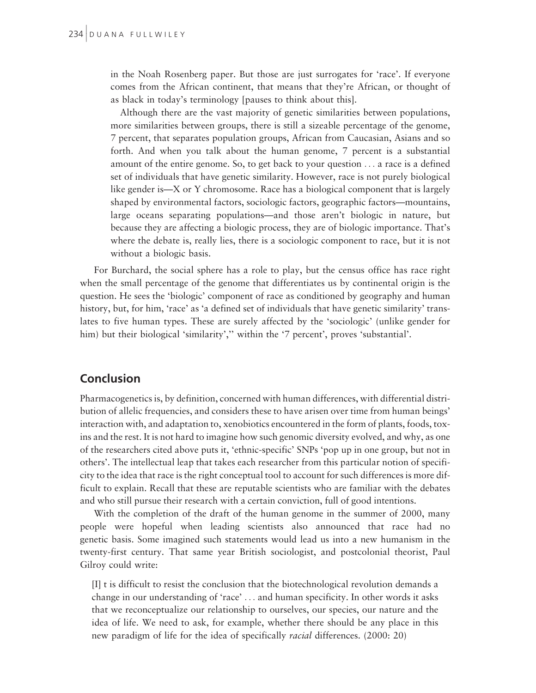in the Noah Rosenberg paper. But those are just surrogates for 'race'. If everyone comes from the African continent, that means that they're African, or thought of as black in today's terminology [pauses to think about this].

Although there are the vast majority of genetic similarities between populations, more similarities between groups, there is still a sizeable percentage of the genome, 7 percent, that separates population groups, African from Caucasian, Asians and so forth. And when you talk about the human genome, 7 percent is a substantial amount of the entire genome. So, to get back to your question ... a race is a defined set of individuals that have genetic similarity. However, race is not purely biological like gender is—X or Y chromosome. Race has a biological component that is largely shaped by environmental factors, sociologic factors, geographic factors—mountains, large oceans separating populations—and those aren't biologic in nature, but because they are affecting a biologic process, they are of biologic importance. That's where the debate is, really lies, there is a sociologic component to race, but it is not without a biologic basis.

For Burchard, the social sphere has a role to play, but the census office has race right when the small percentage of the genome that differentiates us by continental origin is the question. He sees the 'biologic' component of race as conditioned by geography and human history, but, for him, 'race' as 'a defined set of individuals that have genetic similarity' translates to five human types. These are surely affected by the 'sociologic' (unlike gender for him) but their biological 'similarity'," within the '7 percent', proves 'substantial'.

## Conclusion

Pharmacogenetics is, by definition, concerned with human differences, with differential distribution of allelic frequencies, and considers these to have arisen over time from human beings' interaction with, and adaptation to, xenobiotics encountered in the form of plants, foods, toxins and the rest. It is not hard to imagine how such genomic diversity evolved, and why, as one of the researchers cited above puts it, 'ethnic-specific' SNPs 'pop up in one group, but not in others'. The intellectual leap that takes each researcher from this particular notion of specificity to the idea that race is the right conceptual tool to account for such differences is more difficult to explain. Recall that these are reputable scientists who are familiar with the debates and who still pursue their research with a certain conviction, full of good intentions.

With the completion of the draft of the human genome in the summer of 2000, many people were hopeful when leading scientists also announced that race had no genetic basis. Some imagined such statements would lead us into a new humanism in the twenty-first century. That same year British sociologist, and postcolonial theorist, Paul Gilroy could write:

[I] t is difficult to resist the conclusion that the biotechnological revolution demands a change in our understanding of 'race' ... and human specificity. In other words it asks that we reconceptualize our relationship to ourselves, our species, our nature and the idea of life. We need to ask, for example, whether there should be any place in this new paradigm of life for the idea of specifically racial differences. (2000: 20)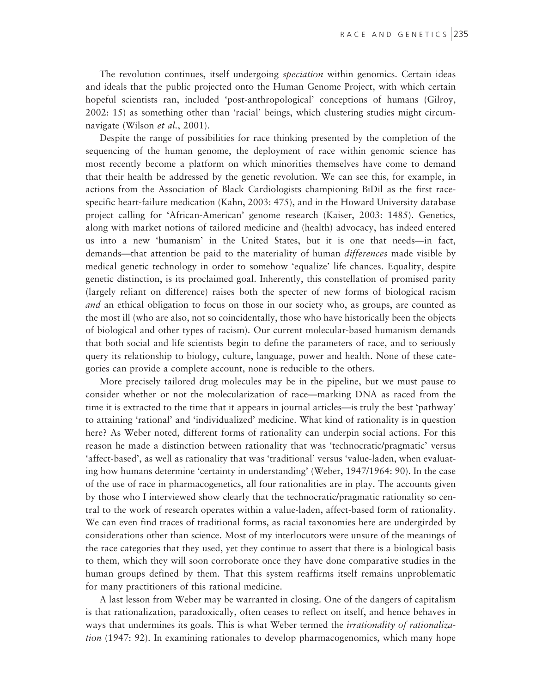The revolution continues, itself undergoing *speciation* within genomics. Certain ideas and ideals that the public projected onto the Human Genome Project, with which certain hopeful scientists ran, included 'post-anthropological' conceptions of humans (Gilroy, 2002: 15) as something other than 'racial' beings, which clustering studies might circumnavigate (Wilson et al., 2001).

Despite the range of possibilities for race thinking presented by the completion of the sequencing of the human genome, the deployment of race within genomic science has most recently become a platform on which minorities themselves have come to demand that their health be addressed by the genetic revolution. We can see this, for example, in actions from the Association of Black Cardiologists championing BiDil as the first racespecific heart-failure medication (Kahn, 2003: 475), and in the Howard University database project calling for 'African-American' genome research (Kaiser, 2003: 1485). Genetics, along with market notions of tailored medicine and (health) advocacy, has indeed entered us into a new 'humanism' in the United States, but it is one that needs—in fact, demands—that attention be paid to the materiality of human *differences* made visible by medical genetic technology in order to somehow 'equalize' life chances. Equality, despite genetic distinction, is its proclaimed goal. Inherently, this constellation of promised parity (largely reliant on difference) raises both the specter of new forms of biological racism and an ethical obligation to focus on those in our society who, as groups, are counted as the most ill (who are also, not so coincidentally, those who have historically been the objects of biological and other types of racism). Our current molecular-based humanism demands that both social and life scientists begin to define the parameters of race, and to seriously query its relationship to biology, culture, language, power and health. None of these categories can provide a complete account, none is reducible to the others.

More precisely tailored drug molecules may be in the pipeline, but we must pause to consider whether or not the molecularization of race—marking DNA as raced from the time it is extracted to the time that it appears in journal articles—is truly the best 'pathway' to attaining 'rational' and 'individualized' medicine. What kind of rationality is in question here? As Weber noted, different forms of rationality can underpin social actions. For this reason he made a distinction between rationality that was 'technocratic/pragmatic' versus 'affect-based', as well as rationality that was 'traditional' versus 'value-laden, when evaluating how humans determine 'certainty in understanding' (Weber, 1947/1964: 90). In the case of the use of race in pharmacogenetics, all four rationalities are in play. The accounts given by those who I interviewed show clearly that the technocratic/pragmatic rationality so central to the work of research operates within a value-laden, affect-based form of rationality. We can even find traces of traditional forms, as racial taxonomies here are undergirded by considerations other than science. Most of my interlocutors were unsure of the meanings of the race categories that they used, yet they continue to assert that there is a biological basis to them, which they will soon corroborate once they have done comparative studies in the human groups defined by them. That this system reaffirms itself remains unproblematic for many practitioners of this rational medicine.

A last lesson from Weber may be warranted in closing. One of the dangers of capitalism is that rationalization, paradoxically, often ceases to reflect on itself, and hence behaves in ways that undermines its goals. This is what Weber termed the *irrationality of rationaliza*tion (1947: 92). In examining rationales to develop pharmacogenomics, which many hope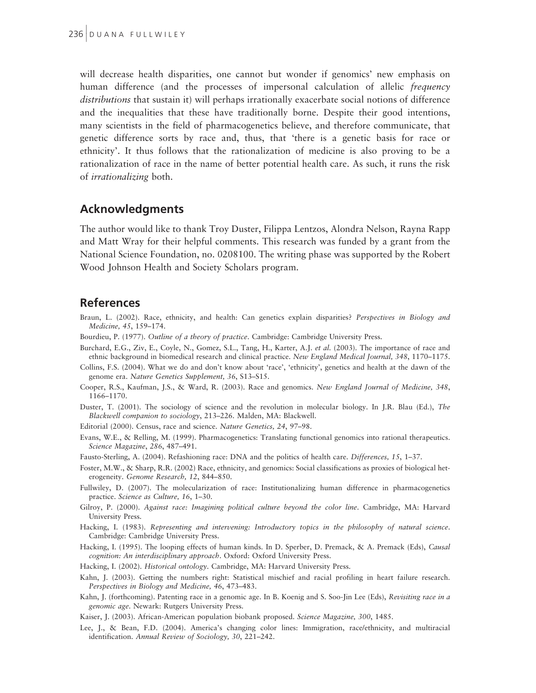will decrease health disparities, one cannot but wonder if genomics' new emphasis on human difference (and the processes of impersonal calculation of allelic *frequency* distributions that sustain it) will perhaps irrationally exacerbate social notions of difference and the inequalities that these have traditionally borne. Despite their good intentions, many scientists in the field of pharmacogenetics believe, and therefore communicate, that genetic difference sorts by race and, thus, that 'there is a genetic basis for race or ethnicity'. It thus follows that the rationalization of medicine is also proving to be a rationalization of race in the name of better potential health care. As such, it runs the risk of irrationalizing both.

## Acknowledgments

The author would like to thank Troy Duster, Filippa Lentzos, Alondra Nelson, Rayna Rapp and Matt Wray for their helpful comments. This research was funded by a grant from the National Science Foundation, no. 0208100. The writing phase was supported by the Robert Wood Johnson Health and Society Scholars program.

### References

- Braun, L. (2002). Race, ethnicity, and health: Can genetics explain disparities? Perspectives in Biology and Medicine, 45, 159–174.
- Bourdieu, P. (1977). Outline of a theory of practice. Cambridge: Cambridge University Press.
- Burchard, E.G., Ziv, E., Coyle, N., Gomez, S.L., Tang, H., Karter, A.J. et al. (2003). The importance of race and ethnic background in biomedical research and clinical practice. New England Medical Journal, 348, 1170-1175.
- Collins, F.S. (2004). What we do and don't know about 'race', 'ethnicity', genetics and health at the dawn of the genome era. Nature Genetics Supplement, 36, S13–S15.
- Cooper, R.S., Kaufman, J.S., & Ward, R. (2003). Race and genomics. New England Journal of Medicine, 348, 1166–1170.
- Duster, T. (2001). The sociology of science and the revolution in molecular biology. In J.R. Blau (Ed.), The Blackwell companion to sociology, 213–226. Malden, MA: Blackwell.
- Editorial (2000). Census, race and science. Nature Genetics, 24, 97–98.
- Evans, W.E., & Relling, M. (1999). Pharmacogenetics: Translating functional genomics into rational therapeutics. Science Magazine, 286, 487–491.
- Fausto-Sterling, A. (2004). Refashioning race: DNA and the politics of health care. Differences, 15, 1–37.
- Foster, M.W., & Sharp, R.R. (2002) Race, ethnicity, and genomics: Social classifications as proxies of biological heterogeneity. Genome Research, 12, 844–850.
- Fullwiley, D. (2007). The molecularization of race: Institutionalizing human difference in pharmacogenetics practice. Science as Culture, 16, 1–30.
- Gilroy, P. (2000). Against race: Imagining political culture beyond the color line. Cambridge, MA: Harvard University Press.
- Hacking, I. (1983). Representing and intervening: Introductory topics in the philosophy of natural science. Cambridge: Cambridge University Press.
- Hacking, I. (1995). The looping effects of human kinds. In D. Sperber, D. Premack, & A. Premack (Eds), Causal cognition: An interdisciplinary approach. Oxford: Oxford University Press.
- Hacking, I. (2002). Historical ontology. Cambridge, MA: Harvard University Press.
- Kahn, J. (2003). Getting the numbers right: Statistical mischief and racial profiling in heart failure research. Perspectives in Biology and Medicine, 46, 473–483.
- Kahn, J. (forthcoming). Patenting race in a genomic age. In B. Koenig and S. Soo-Jin Lee (Eds), Revisiting race in a genomic age. Newark: Rutgers University Press.
- Kaiser, J. (2003). African-American population biobank proposed. Science Magazine, 300, 1485.
- Lee, J., & Bean, F.D. (2004). America's changing color lines: Immigration, race/ethnicity, and multiracial identification. Annual Review of Sociology, 30, 221–242.